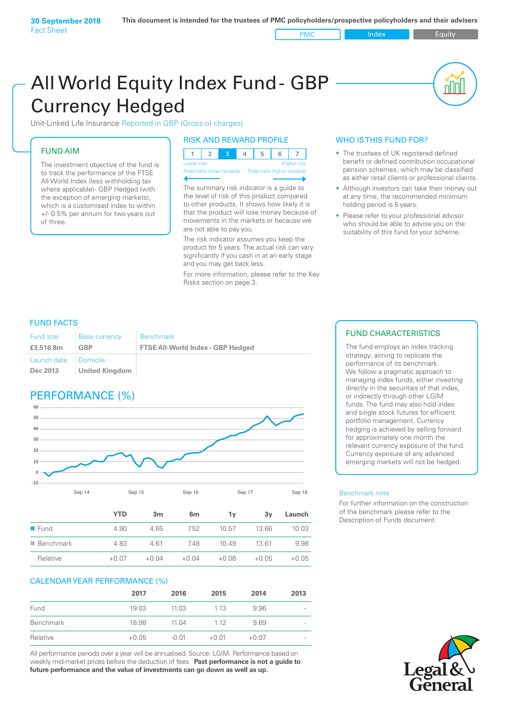All World Equity Index Fund- GBP Currency Hedged

Unit-Linked Life Insurance Reported in GBP (Gross of charges)

## FUND AIM

The investment objective of the fund is to track the performance of the FTSE All-World Index (less withholding tax where applicable)- GBP Hedged (with the exception of emerging markets), which is a customised index to within +/- 0.5% per annum for two years out of three.

### RISK AND REWARD PROFILE

| Lower risk |  |  | <b>Higher risk</b> |
|------------|--|--|--------------------|

ntially lower rewards

The summary risk indicator is a guide to the level of risk of this product compared to other products. It shows how likely it is that the product will lose money because of movements in the markets or because we are not able to pay you.

The risk indicator assumes you keep the product for 5 years. The actual risk can vary significantly if you cash in at an early stage and you may get back less.

For more information, please refer to the Key Risks section on page 3.

### WHO IS THIS FUND FOR?

The trustees of UK registered defined benefit or defined contribution occupational pension schemes, which may be classified as either retail clients or professional clients.

nl M

- Although investors can take their money out at any time, the recommended minimum holding period is 5 years.
- Please refer to your professional advisor who should be able to advise you on the suitability of this fund for your scheme.

### FUND FACTS

| <b>Fund size</b>        | <b>Base currency</b>              | <b>Benchmark</b>                         |
|-------------------------|-----------------------------------|------------------------------------------|
| £3,516.8m               | <b>GBP</b>                        | <b>FTSE All-World Index - GBP Hedged</b> |
| Launch date<br>Dec 2013 | Domicile<br><b>United Kingdom</b> |                                          |

# PERFORMANCE (%)



|                          | <b>YTD</b> | 3m      | 6 <sub>m</sub> | 1۷      | 3v      | Launch  |
|--------------------------|------------|---------|----------------|---------|---------|---------|
| $\blacksquare$ Fund      | 4.90       | 4.65    | 7.52           | 10.57   | 13.66   | 10.03   |
| $\blacksquare$ Benchmark | 4.83       | 4.61    | 7.48           | 10.49   | 13.61   | 9.98    |
| Relative                 | $+0.07$    | $+0.04$ | $+0.04$        | $+0.08$ | $+0.05$ | $+0.05$ |

### CALENDAR YEAR PERFORMANCE (%)

|           | 2017    | 2016    | 2015    | 2014    | 2013                     |
|-----------|---------|---------|---------|---------|--------------------------|
| Fund      | 19.03   | 11.03   | 1.13    | 9.96    | $\overline{\phantom{a}}$ |
| Benchmark | 18.98   | 11.04   | 1.12    | 9.89    | $\overline{\phantom{a}}$ |
| Relative  | $+0.05$ | $-0.01$ | $+0.01$ | $+0.07$ |                          |

All performance periods over a year will be annualised. Source: LGIM. Performance based on weekly mid-market prices before the deduction of fees. **Past performance is not a guide to future performance and the value of investments can go down as well as up.**

### FUND CHARACTERISTICS

The fund employs an index tracking strategy, aiming to replicate the performance of its benchmark. We follow a pragmatic approach to managing index funds, either investing directly in the securities of that index, or indirectly through other LGIM funds. The fund may also hold index and single stock futures for efficient portfolio management. Currency hedging is achieved by selling forward for approximately one month the relevant currency exposure of the fund. Currency exposure of any advanced emerging markets will not be hedged.

### Benchmark note

For further information on the construction of the benchmark please refer to the Description of Funds document.

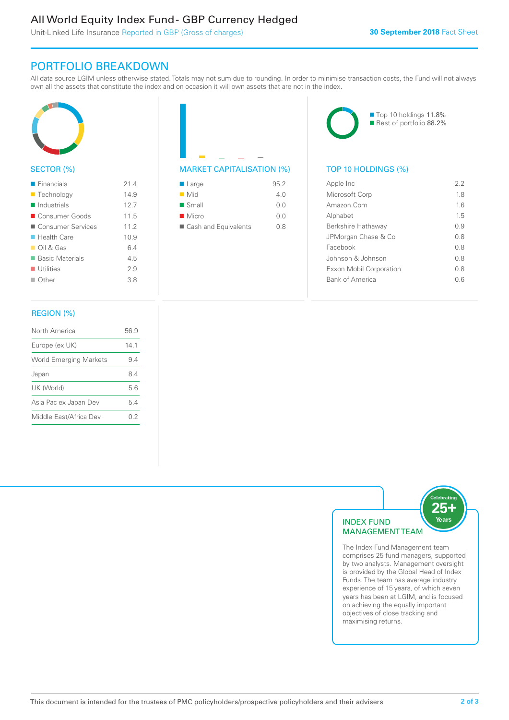# All World Equity Index Fund - GBP Currency Hedged

Unit-Linked Life Insurance Reported in GBP (Gross of charges)

# PORTFOLIO BREAKDOWN

All data source LGIM unless otherwise stated. Totals may not sum due to rounding. In order to minimise transaction costs, the Fund will not always own all the assets that constitute the index and on occasion it will own assets that are not in the index.



### SECTOR (%)

| $\blacksquare$ Financials  | 214  |
|----------------------------|------|
| ■ Technology               | 14.9 |
| $\blacksquare$ Industrials | 12.7 |
| ■ Consumer Goods           | 11.5 |
| ■ Consumer Services        | 11.2 |
| ■ Health Care              | 10.9 |
| $\Box$ Oil & Gas           | 6.4  |
| ■ Basic Materials          | 4.5  |
| $\blacksquare$ Utilities   | 2.9  |
| $\Box$ Other               | 3.8  |
|                            |      |

# MARKET CAPITALISATION (%) TOP 10 HOLDINGS (%)

| $\blacksquare$ Large | 95.2 |
|----------------------|------|
| $\blacksquare$ Mid   | 4 N  |
| $\blacksquare$ Small | 0.0  |
| $\blacksquare$ Micro | n n  |
| Cash and Equivalents | 0 S  |

■ Top 10 holdings 11.8% Rest of portfolio 88.2%

| Apple Inc               | 2.2 |
|-------------------------|-----|
| Microsoft Corp          | 18  |
| Amazon.Com              | 1.6 |
| Alphabet                | 15  |
| Berkshire Hathaway      | O 9 |
| JPMorgan Chase & Co     | 0 S |
| Facebook                | 08  |
| Johnson & Johnson       | 0 S |
| Exxon Mobil Corporation | 08  |
| <b>Bank of America</b>  |     |
|                         |     |

### REGION (%)

| North America                 | 56.9 |
|-------------------------------|------|
| Europe (ex UK)                | 141  |
| <b>World Emerging Markets</b> | 94   |
| Japan                         | 84   |
| UK (World)                    | 56   |
| Asia Pac ex Japan Dev         | 54   |
| Middle East/Africa Dev        | 02   |
|                               |      |



The Index Fund Management team comprises 25 fund managers, supported by two analysts. Management oversight is provided by the Global Head of Index Funds. The team has average industry experience of 15 years, of which seven years has been at LGIM, and is focused on achieving the equally important objectives of close tracking and maximising returns.